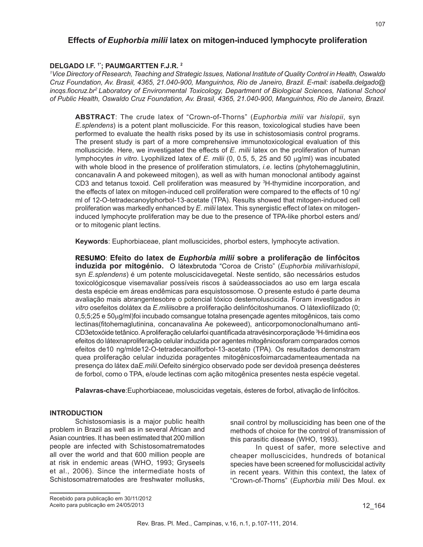# **Effects** *of Euphorbia milii* **latex on mitogen-induced lymphocyte proliferation**

### **DELGADO I.F. 1\*; PAUMGARTTEN F.J.R. 2**

*1 Vice Directory of Research, Teaching and Strategic Issues, National Institute of Quality Control in Health, Oswaldo Cruz Foundation, Av. Brasil, 4365, 21.040-900, Manguinhos, Rio de Janeiro, Brazil. E-mail: isabella.delgado@ incqs.fiocruz.br2 Laboratory of Environmental Toxicology, Department of Biological Sciences, National School of Public Health, Oswaldo Cruz Foundation, Av. Brasil, 4365, 21.040-900, Manguinhos, Rio de Janeiro, Brazil.*

**ABSTRACT**: The crude latex of "Crown-of-Thorns" (*Euphorbia milii* var *hislopii*, syn *E.splendens*) is a potent plant molluscicide. For this reason, toxicological studies have been performed to evaluate the health risks posed by its use in schistosomiasis control programs. The present study is part of a more comprehensive immunotoxicological evaluation of this molluscicide. Here, we investigated the effects of *E. milii* latex on the proliferation of human lymphocytes *in vitro*. Lyophilized latex of *E. milii* (0, 0.5, 5, 25 and 50 µg/ml) was incubated with whole blood in the presence of proliferation stimulators, *i.e*. lectins (phytohemagglutinin, concanavalin A and pokeweed mitogen), as well as with human monoclonal antibody against CD3 and tetanus toxoid. Cell proliferation was measured by <sup>3</sup>H-thymidine incorporation, and the effects of latex on mitogen-induced cell proliferation were compared to the effects of 10 ng/ ml of 12-O-tetradecanoylphorbol-13-acetate (TPA). Results showed that mitogen-induced cell proliferation was markedly enhanced by *E. milii* latex. This synergistic effect of latex on mitogeninduced lymphocyte proliferation may be due to the presence of TPA-like phorbol esters and/ or to mitogenic plant lectins.

**Keywords**: Euphorbiaceae, plant molluscicides, phorbol esters, lymphocyte activation.

**RESUMO**: **Efeito do latex de** *Euphorbia milii* **sobre a proliferação de linfócitos induzida por mitogénio.** O látexbrutoda "Coroa de Cristo" (*Euphorbia milii*var*hislopii*, syn *E.splendens*) é um potente moluscicidavegetal. Neste sentido, são necessários estudos toxicológicosque visemavaliar possíveis riscos à saúdeassociados ao uso em larga escala desta espécie em áreas endêmicas para esquistossomose. O presente estudo é parte deuma avaliação mais abrangentesobre o potencial tóxico destemoluscicida. Foram investigados *in vitro* osefeitos dolátex da *E.milii*sobre a proliferação delinfócitoshumanos. O látexliofilizado (0; 0,5;5;25 e 50µg/ml)foi incubado comsangue totalna presençade agentes mitogênicos, tais como lectinas(fitohemaglutinina, concanavalina Ae pokeweed), anticorpomonoclonalhumano anti-CD3etoxóide tetânico. A proliferação celularfoi quantificada atravésincorporaçãode <sup>3</sup> H-timidina eos efeitos do látexnaproliferação celular induzida por agentes mitogênicosforam comparados comos efeitos de10 ng/mlde12-O-tetradecanoilforbol-13-acetato (TPA). Os resultados demonstram quea proliferação celular induzida poragentes mitogênicosfoimarcadamenteaumentada na presença do látex da*E.milii*.Oefeito sinérgico observado pode ser devidoà presença deésteres de forbol, como o TPA, e/oude lectinas com ação mitogênica presentes nesta espécie vegetal.

**Palavras-chave**:Euphorbiaceae, moluscicidas vegetais, ésteres de forbol, ativação de linfócitos.

#### **INTRODUCTION**

Schistosomiasis is a major public health problem in Brazil as well as in several African and Asian countries. It has been estimated that 200 million people are infected with Schistosomatrematodes all over the world and that 600 million people are at risk in endemic areas (WHO, 1993; Gryseels et al., 2006). Since the intermediate hosts of Schistosomatrematodes are freshwater mollusks,

snail control by mollusciciding has been one of the methods of choice for the control of transmission of this parasitic disease (WHO, 1993).

In quest of safer, more selective and cheaper molluscicides, hundreds of botanical species have been screened for molluscicidal activity in recent years. Within this context, the latex of "Crown-of-Thorns" (*Euphorbia milii* Des Moul. ex

Recebido para publicação em 30/11/2012 Aceito para publicação em 24/05/2013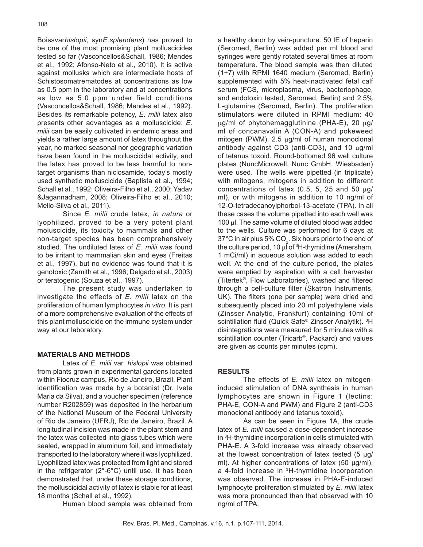Boissvar*hislopii*, syn*E.splendens*) has proved to be one of the most promising plant molluscicides tested so far (Vasconcellos&Schall, 1986; Mendes et al., 1992; Afonso-Neto et al., 2010). It is active against mollusks which are intermediate hosts of Schistosomatrematodes at concentrations as low as 0.5 ppm in the laboratory and at concentrations as low as 5.0 ppm under field conditions (Vasconcellos&Schall, 1986; Mendes et al., 1992). Besides its remarkable potency, *E. milii* latex also presents other advantages as a molluscicide: *E. milii* can be easily cultivated in endemic areas and yields a rather large amount of latex throughout the year, no marked seasonal nor geographic variation have been found in the molluscicidal activity, and the latex has proved to be less harmful to nontarget organisms than niclosamide, today's mostly used synthetic molluscicide (Baptista et al., 1994; Schall et al., 1992; Oliveira-Filho et al., 2000; Yadav &Jagannadham, 2008; Oliveira-Filho et al., 2010; Mello-Silva et al., 2011).

Since *E. milii* crude latex, *in natura* or lyophilized, proved to be a very potent plant moluscicide, its toxicity to mammals and other non-target species has been comprehensively studied. The undiluted latex of *E. milii* was found to be irritant to mammalian skin and eyes (Freitas et al., 1997), but no evidence was found that it is genotoxic (Zamith et al., 1996; Delgado et al., 2003) or teratogenic (Souza et al., 1997).

The present study was undertaken to investigate the effects of *E. milii* latex on the proliferation of human lymphocytes *in vitro*. It is part of a more comprehensive evaluation of the effects of this plant molluscicide on the immune system under way at our laboratory.

#### **MATERIALS AND METHODS**

Latex of *E. milii* var. *hislopii* was obtained from plants grown in experimental gardens located within Fiocruz campus, Rio de Janeiro, Brazil. Plant identification was made by a botanist (Dr. Ivete Maria da Silva), and a voucher specimen (reference number R202859) was deposited in the herbarium of the National Museum of the Federal University of Rio de Janeiro (UFRJ), Rio de Janeiro, Brazil. A longitudinal incision was made in the plant stem and the latex was collected into glass tubes which were sealed, wrapped in aluminum foil, and immediately transported to the laboratory where it was lyophilized. Lyophilized latex was protected from light and stored in the refrigerator (2°-6°C) until use. It has been demonstrated that, under these storage conditions, the molluscicidal activity of latex is stable for at least 18 months (Schall et al., 1992).

Human blood sample was obtained from

a healthy donor by vein-puncture. 50 IE of heparin (Seromed, Berlin) was added per ml blood and syringes were gently rotated several times at room temperature. The blood sample was then diluted (1+7) with RPMI 1640 medium (Seromed, Berlin) supplemented with 5% heat-inactivated fetal calf serum (FCS, microplasma, virus, bacteriophage, and endotoxin tested, Seromed, Berlin) and 2.5% L-glutamine (Seromed, Berlin). The proliferation stimulators were diluted in RPMI medium: 40  $\mu$ g/ml of phytohemagglutinine (PHA-E), 20  $\mu$ g/ ml of concanavalin A (CON-A) and pokeweed mitogen (PWM),  $2.5 \mu g/ml$  of human monoclonal antibody against CD3 (anti-CD3), and 10 µg/ml of tetanus toxoid. Round-bottomed 96 well culture plates (NuncMicrowell, Nunc GmbH, Wiesbaden) were used. The wells were pipetted (in triplicate) with mitogens, mitogens in addition to different concentrations of latex (0.5, 5, 25 and 50  $\mu$ g/ ml), or with mitogens in addition to 10 ng/ml of 12-O-tetradecanoylphorbol-13-acetate (TPA). In all these cases the volume pipetted into each well was 100 µl. The same volume of diluted blood was added to the wells. Culture was performed for 6 days at 37°C in air plus 5%  $CO<sub>2</sub>$ . Six hours prior to the end of the culture period, 10 µl of <sup>3</sup>H-thymidine (Amersham, 1 mCi/ml) in aqueous solution was added to each well. At the end of the culture period, the plates were emptied by aspiration with a cell harvester (Titertek®, Flow Laboratories), washed and filtered through a cell-culture filter (Skatron Instruments, UK). The filters (one per sample) were dried and subsequently placed into 20 ml polyethylene vials (Zinsser Analytic, Frankfurt) containing 10ml of scintillation fluid (Quick Safe® Zinsser Analytik). 3 H disintegrations were measured for 5 minutes with a scintillation counter (Tricarb®, Packard) and values are given as counts per minutes (cpm).

#### **RESULTS**

The effects of *E. milii* latex on mitogeninduced stimulation of DNA synthesis in human lymphocytes are shown in Figure 1 (lectins: PHA-E, CON-A and PWM) and Figure 2 (anti-CD3 monoclonal antibody and tetanus toxoid).

As can be seen in Figure 1A, the crude latex of *E. milii* caused a dose-dependent increase in 3 H-thymidine incorporation in cells stimulated with PHA-E. A 3-fold increase was already observed at the lowest concentration of latex tested  $(5 \mu g)$ ml). At higher concentrations of latex (50 µg/ml), a 4-fold increase in <sup>3</sup>H-thymidine incorporation was observed. The increase in PHA-E-induced lymphocyte proliferation stimulated by *E. milii* latex was more pronounced than that observed with 10 ng/ml of TPA.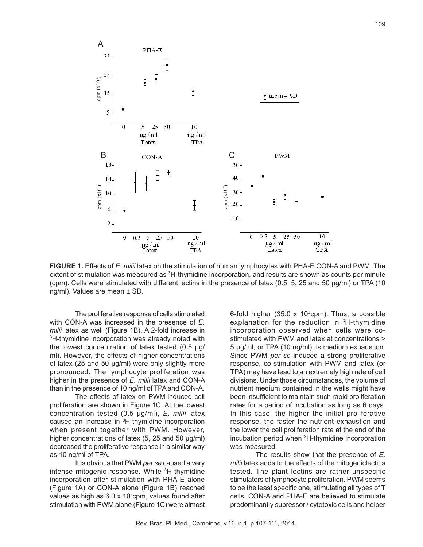

**FIGURE 1.** Effects of *E. milii* latex on the stimulation of human lymphocytes with PHA-E CON-A and PWM. The extent of stimulation was measured as <sup>3</sup>H-thymidine incorporation, and results are shown as counts per minute (cpm). Cells were stimulated with different lectins in the presence of latex (0.5, 5, 25 and 50  $\mu$ g/ml) or TPA (10 ng/ml). Values are mean ± SD.

The proliferative response of cells stimulated with CON-A was increased in the presence of *E. milii* latex as well (Figure 1B). A 2-fold increase in 3 <sup>3</sup>H-thymidine incorporation was already noted with the lowest concentration of latex tested (0.5 µg/ ml). However, the effects of higher concentrations of latex (25 and 50 µg/ml) were only slightly more pronounced. The lymphocyte proliferation was higher in the presence of *E. milii* latex and CON-A than in the presence of 10 ng/ml of TPA and CON-A.

The effects of latex on PWM-induced cell proliferation are shown in Figure 1C. At the lowest concentration tested (0.5 µg/ml), *E. milii* latex caused an increase in 3 H-thymidine incorporation when present together with PWM. However, higher concentrations of latex (5, 25 and 50 µg/ml) decreased the proliferative response in a similar way as 10 ng/ml of TPA.

It is obvious that PWM *per se* caused a very intense mitogenic response. While <sup>3</sup>H-thymidine incorporation after stimulation with PHA-E alone (Figure 1A) or CON-A alone (Figure 1B) reached values as high as 6.0 x 10<sup>3</sup>cpm, values found after stimulation with PWM alone (Figure 1C) were almost

6-fold higher (35.0 x 10 $^3$ cpm). Thus, a possible explanation for the reduction in <sup>3</sup>H-thymidine incorporation observed when cells were costimulated with PWM and latex at concentrations > 5 µg/ml, or TPA (10 ng/ml), is medium exhaustion. Since PWM *per se* induced a strong proliferative response, co-stimulation with PWM and latex (or TPA) may have lead to an extremely high rate of cell divisions. Under those circumstances, the volume of nutrient medium contained in the wells might have been insufficient to maintain such rapid proliferation rates for a period of incubation as long as 6 days. In this case, the higher the initial proliferative response, the faster the nutrient exhaustion and the lower the cell proliferation rate at the end of the incubation period when 3 H-thymidine incorporation was measured.

The results show that the presence of *E. milii* latex adds to the effects of the mitogeniclectins tested. The plant lectins are rather unspecific stimulators of lymphocyte proliferation. PWM seems to be the least specific one, stimulating all types of T cells. CON-A and PHA-E are believed to stimulate predominantly supressor / cytotoxic cells and helper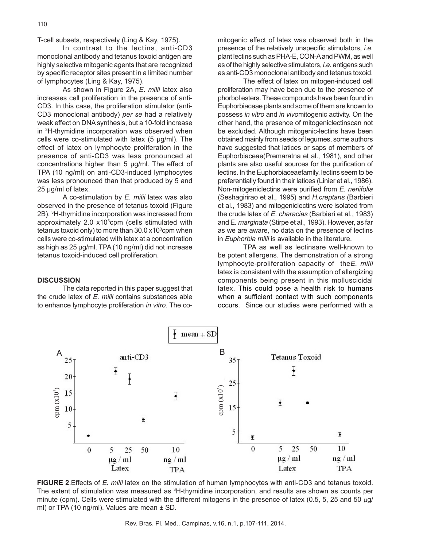T-cell subsets, respectively (Ling & Kay, 1975).

In contrast to the lectins, anti-CD3 monoclonal antibody and tetanus toxoid antigen are highly selective mitogenic agents that are recognized by specific receptor sites present in a limited number of lymphocytes (Ling & Kay, 1975).

As shown in Figure 2A, *E. milii* latex also increases cell proliferation in the presence of anti-CD3. In this case, the proliferation stimulator (anti-CD3 monoclonal antibody) *per se* had a relatively weak effect on DNA synthesis, but a 10-fold increase in 3 H-thymidine incorporation was observed when cells were co-stimulated with latex  $(5 \mu g/ml)$ . The effect of latex on lymphocyte proliferation in the presence of anti-CD3 was less pronounced at concentrations higher than 5 µg/ml. The effect of TPA (10 ng/ml) on anti-CD3-induced lymphocytes was less pronounced than that produced by 5 and 25 µg/ml of latex.

A co-stimulation by *E. milii* latex was also observed in the presence of tetanus toxoid (Figure 2B). 3 H-thymidine incorporation was increased from approximately 2.0 x10<sup>3</sup>cpm (cells stimulated with tetanus toxoid only) to more than 30.0 x10<sup>3</sup>cpm when cells were co-stimulated with latex at a concentration as high as 25 µg/ml. TPA (10 ng/ml) did not increase tetanus toxoid-induced cell proliferation.

### **DISCUSSION**

The data reported in this paper suggest that the crude latex of *E. milii* contains substances able to enhance lymphocyte proliferation *in vitro*. The co-

mitogenic effect of latex was observed both in the presence of the relatively unspecific stimulators, *i.e*. plant lectins such as PHA-E, CON-A and PWM, as well as of the highly selective stimulators, *i.e*. antigens such as anti-CD3 monoclonal antibody and tetanus toxoid.

The effect of latex on mitogen-induced cell proliferation may have been due to the presence of phorbol esters. These compounds have been found in Euphorbiaceae plants and some of them are known to possess *in vitro* and *in vivo*mitogenic activity. On the other hand, the presence of mitogeniclectinscan not be excluded. Although mitogenic-lectins have been obtained mainly from seeds of legumes, some authors have suggested that latices or saps of members of Euphorbiaceae(Premaratna et al., 1981), and other plants are also useful sources for the purification of lectins. In the Euphorbiaceaefamily, lectins seem to be preferentially found in their latices (Linier et al., 1986). Non-mitogeniclectins were purified from *E. neriifolia* (Seshagirirao et al., 1995) and *H.creptans* (Barbieri et al., 1983) and mitogeniclectins were isolated from the crude latex of *E. characias* (Barbieri et al., 1983) and E*. marginata* (Stirpe et al., 1993). However, as far as we are aware, no data on the presence of lectins in *Euphorbia milii* is available in the literature.

TPA as well as lectinsare well-known to be potent allergens. The demonstration of a strong lymphocyte-proliferation capacity of the*E. milii* latex is consistent with the assumption of allergizing components being present in this molluscicidal latex. This could pose a health risk to humans when a sufficient contact with such components occurs. Since our studies were performed with a



**FIGURE 2**.Effects of *E. milii* latex on the stimulation of human lymphocytes with anti-CD3 and tetanus toxoid. The extent of stimulation was measured as <sup>3</sup>H-thymidine incorporation, and results are shown as counts per minute (cpm). Cells were stimulated with the different mitogens in the presence of latex (0.5, 5, 25 and 50  $\mu$ g/ ml) or TPA (10 ng/ml). Values are mean  $\pm$  SD.